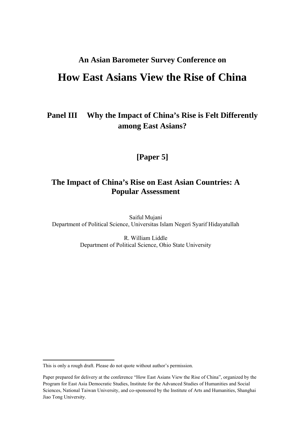## **An Asian Barometer Survey Conference on**

# **How East Asians View the Rise of China**

## **Panel III Why the Impact of China's Rise is Felt Differently among East Asians?**

## **[Paper 5]**

## **The Impact of China's Rise on East Asian Countries: A Popular Assessment**

Saiful Mujani Department of Political Science, Universitas Islam Negeri Syarif Hidayatullah

> R. William Liddle Department of Political Science, Ohio State University

This is only a rough draft. Please do not quote without author's permission.

Paper prepared for delivery at the conference "How East Asians View the Rise of China", organized by the Program for East Asia Democratic Studies, Institute for the Advanced Studies of Humanities and Social Sciences, National Taiwan University, and co-sponsored by the Institute of Arts and Humanities, Shanghai Jiao Tong University.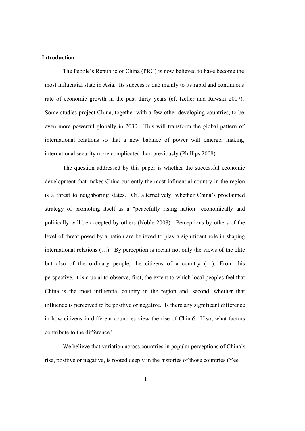#### **Introduction**

The People's Republic of China (PRC) is now believed to have become the most influential state in Asia. Its success is due mainly to its rapid and continuous rate of economic growth in the past thirty years (cf. Keller and Rawski 2007). Some studies project China, together with a few other developing countries, to be even more powerful globally in 2030. This will transform the global pattern of international relations so that a new balance of power will emerge, making international security more complicated than previously (Phillips 2008).

The question addressed by this paper is whether the successful economic development that makes China currently the most influential country in the region is a threat to neighboring states. Or, alternatively, whether China's proclaimed strategy of promoting itself as a "peacefully rising nation" economically and politically will be accepted by others (Noble 2008). Perceptions by others of the level of threat posed by a nation are believed to play a significant role in shaping international relations (…). By perception is meant not only the views of the elite but also of the ordinary people, the citizens of a country (…). From this perspective, it is crucial to observe, first, the extent to which local peoples feel that China is the most influential country in the region and, second, whether that influence is perceived to be positive or negative. Is there any significant difference in how citizens in different countries view the rise of China? If so, what factors contribute to the difference?

We believe that variation across countries in popular perceptions of China's rise, positive or negative, is rooted deeply in the histories of those countries (Yee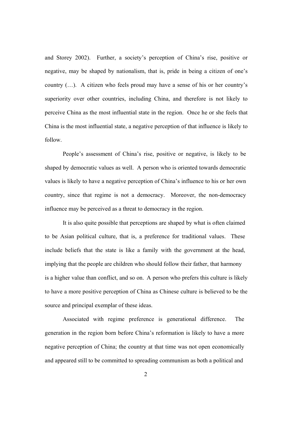and Storey 2002). Further, a society's perception of China's rise, positive or negative, may be shaped by nationalism, that is, pride in being a citizen of one's country (…). A citizen who feels proud may have a sense of his or her country's superiority over other countries, including China, and therefore is not likely to perceive China as the most influential state in the region. Once he or she feels that China is the most influential state, a negative perception of that influence is likely to follow.

People's assessment of China's rise, positive or negative, is likely to be shaped by democratic values as well. A person who is oriented towards democratic values is likely to have a negative perception of China's influence to his or her own country, since that regime is not a democracy. Moreover, the non-democracy influence may be perceived as a threat to democracy in the region.

It is also quite possible that perceptions are shaped by what is often claimed to be Asian political culture, that is, a preference for traditional values. These include beliefs that the state is like a family with the government at the head, implying that the people are children who should follow their father, that harmony is a higher value than conflict, and so on. A person who prefers this culture is likely to have a more positive perception of China as Chinese culture is believed to be the source and principal exemplar of these ideas.

Associated with regime preference is generational difference. The generation in the region born before China's reformation is likely to have a more negative perception of China; the country at that time was not open economically and appeared still to be committed to spreading communism as both a political and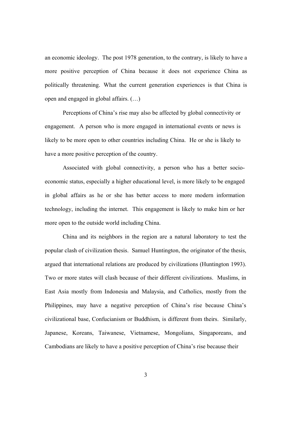an economic ideology. The post 1978 generation, to the contrary, is likely to have a more positive perception of China because it does not experience China as politically threatening. What the current generation experiences is that China is open and engaged in global affairs. (…)

Perceptions of China's rise may also be affected by global connectivity or engagement. A person who is more engaged in international events or news is likely to be more open to other countries including China. He or she is likely to have a more positive perception of the country.

Associated with global connectivity, a person who has a better socioeconomic status, especially a higher educational level, is more likely to be engaged in global affairs as he or she has better access to more modern information technology, including the internet. This engagement is likely to make him or her more open to the outside world including China.

China and its neighbors in the region are a natural laboratory to test the popular clash of civilization thesis. Samuel Huntington, the originator of the thesis, argued that international relations are produced by civilizations (Huntington 1993). Two or more states will clash because of their different civilizations. Muslims, in East Asia mostly from Indonesia and Malaysia, and Catholics, mostly from the Philippines, may have a negative perception of China's rise because China's civilizational base, Confucianism or Buddhism, is different from theirs. Similarly, Japanese, Koreans, Taiwanese, Vietnamese, Mongolians, Singaporeans, and Cambodians are likely to have a positive perception of China's rise because their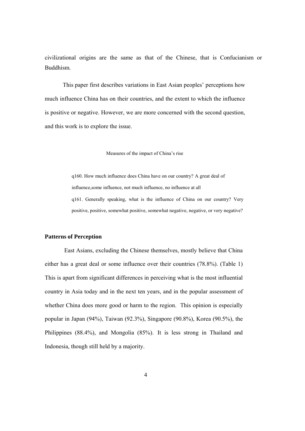civilizational origins are the same as that of the Chinese, that is Confucianism or Buddhism.

This paper first describes variations in East Asian peoples' perceptions how much influence China has on their countries, and the extent to which the influence is positive or negative. However, we are more concerned with the second question, and this work is to explore the issue.

Measures of the impact of China's rise

q160. How much influence does China have on our country? A great deal of influence,some influence, not much influence, no influence at all q161. Generally speaking, what is the influence of China on our country? Very positive, positive, somewhat positive, somewhat negative, negative, or very negative?

## **Patterns of Perception**

East Asians, excluding the Chinese themselves, mostly believe that China either has a great deal or some influence over their countries (78.8%). (Table 1) This is apart from significant differences in perceiving what is the most influential country in Asia today and in the next ten years, and in the popular assessment of whether China does more good or harm to the region. This opinion is especially popular in Japan (94%), Taiwan (92.3%), Singapore (90.8%), Korea (90.5%), the Philippines (88.4%), and Mongolia (85%). It is less strong in Thailand and Indonesia, though still held by a majority.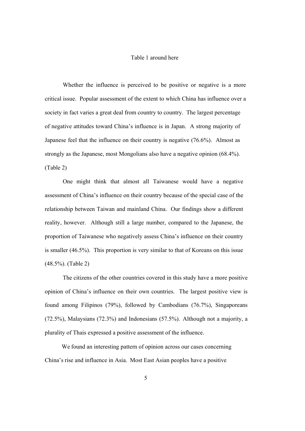### Table 1 around here

Whether the influence is perceived to be positive or negative is a more critical issue. Popular assessment of the extent to which China has influence over a society in fact varies a great deal from country to country. The largest percentage of negative attitudes toward China's influence is in Japan. A strong majority of Japanese feel that the influence on their country is negative (76.6%). Almost as strongly as the Japanese, most Mongolians also have a negative opinion (68.4%). (Table 2)

One might think that almost all Taiwanese would have a negative assessment of China's influence on their country because of the special case of the relationship between Taiwan and mainland China. Our findings show a different reality, however. Although still a large number, compared to the Japanese, the proportion of Taiwanese who negatively assess China's influence on their country is smaller (46.5%). This proportion is very similar to that of Koreans on this issue (48.5%). (Table 2)

The citizens of the other countries covered in this study have a more positive opinion of China's influence on their own countries. The largest positive view is found among Filipinos (79%), followed by Cambodians (76.7%), Singaporeans (72.5%), Malaysians (72.3%) and Indonesians (57.5%). Although not a majority, a plurality of Thais expressed a positive assessment of the influence.

We found an interesting pattern of opinion across our cases concerning China's rise and influence in Asia. Most East Asian peoples have a positive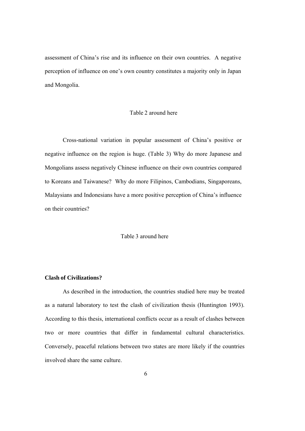assessment of China's rise and its influence on their own countries. A negative perception of influence on one's own country constitutes a majority only in Japan and Mongolia.

## Table 2 around here

Cross-national variation in popular assessment of China's positive or negative influence on the region is huge. (Table 3) Why do more Japanese and Mongolians assess negatively Chinese influence on their own countries compared to Koreans and Taiwanese? Why do more Filipinos, Cambodians, Singaporeans, Malaysians and Indonesians have a more positive perception of China's influence on their countries?

Table 3 around here

## **Clash of Civilizations?**

As described in the introduction, the countries studied here may be treated as a natural laboratory to test the clash of civilization thesis (Huntington 1993). According to this thesis, international conflicts occur as a result of clashes between two or more countries that differ in fundamental cultural characteristics. Conversely, peaceful relations between two states are more likely if the countries involved share the same culture.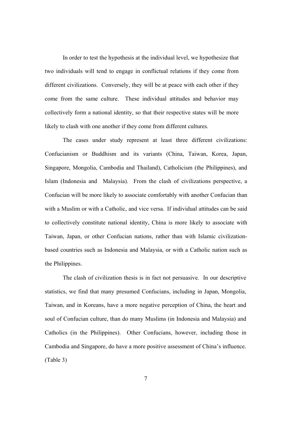In order to test the hypothesis at the individual level, we hypothesize that two individuals will tend to engage in conflictual relations if they come from different civilizations. Conversely, they will be at peace with each other if they come from the same culture. These individual attitudes and behavior may collectively form a national identity, so that their respective states will be more likely to clash with one another if they come from different cultures.

The cases under study represent at least three different civilizations: Confucianism or Buddhism and its variants (China, Taiwan, Korea, Japan, Singapore, Mongolia, Cambodia and Thailand), Catholicism (the Philippines), and Islam (Indonesia and Malaysia). From the clash of civilizations perspective, a Confucian will be more likely to associate comfortably with another Confucian than with a Muslim or with a Catholic, and vice versa. If individual attitudes can be said to collectively constitute national identity, China is more likely to associate with Taiwan, Japan, or other Confucian nations, rather than with Islamic civilizationbased countries such as Indonesia and Malaysia, or with a Catholic nation such as the Philippines.

The clash of civilization thesis is in fact not persuasive. In our descriptive statistics, we find that many presumed Confucians, including in Japan, Mongolia, Taiwan, and in Koreans, have a more negative perception of China, the heart and soul of Confucian culture, than do many Muslims (in Indonesia and Malaysia) and Catholics (in the Philippines). Other Confucians, however, including those in Cambodia and Singapore, do have a more positive assessment of China's influence. (Table 3)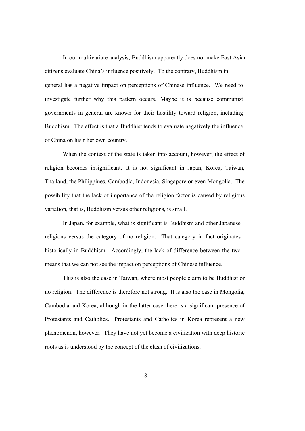In our multivariate analysis, Buddhism apparently does not make East Asian citizens evaluate China's influence positively. To the contrary, Buddhism in general has a negative impact on perceptions of Chinese influence. We need to investigate further why this pattern occurs. Maybe it is because communist governments in general are known for their hostility toward religion, including Buddhism. The effect is that a Buddhist tends to evaluate negatively the influence of China on his r her own country.

When the context of the state is taken into account, however, the effect of religion becomes insignificant. It is not significant in Japan, Korea, Taiwan, Thailand, the Philippines, Cambodia, Indonesia, Singapore or even Mongolia. The possibility that the lack of importance of the religion factor is caused by religious variation, that is, Buddhism versus other religions, is small.

In Japan, for example, what is significant is Buddhism and other Japanese religions versus the category of no religion. That category in fact originates historically in Buddhism. Accordingly, the lack of difference between the two means that we can not see the impact on perceptions of Chinese influence.

This is also the case in Taiwan, where most people claim to be Buddhist or no religion. The difference is therefore not strong. It is also the case in Mongolia, Cambodia and Korea, although in the latter case there is a significant presence of Protestants and Catholics. Protestants and Catholics in Korea represent a new phenomenon, however. They have not yet become a civilization with deep historic roots as is understood by the concept of the clash of civilizations.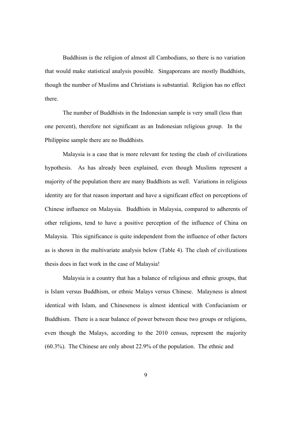Buddhism is the religion of almost all Cambodians, so there is no variation that would make statistical analysis possible. Singaporeans are mostly Buddhists, though the number of Muslims and Christians is substantial. Religion has no effect there.

The number of Buddhists in the Indonesian sample is very small (less than one percent), therefore not significant as an Indonesian religious group. In the Philippine sample there are no Buddhists.

Malaysia is a case that is more relevant for testing the clash of civilizations hypothesis. As has already been explained, even though Muslims represent a majority of the population there are many Buddhists as well. Variations in religious identity are for that reason important and have a significant effect on perceptions of Chinese influence on Malaysia. Buddhists in Malaysia, compared to adherents of other religions, tend to have a positive perception of the influence of China on Malaysia. This significance is quite independent from the influence of other factors as is shown in the multivariate analysis below (Table 4). The clash of civilizations thesis does in fact work in the case of Malaysia!

Malaysia is a country that has a balance of religious and ethnic groups, that is Islam versus Buddhism, or ethnic Malays versus Chinese. Malayness is almost identical with Islam, and Chineseness is almost identical with Confucianism or Buddhism. There is a near balance of power between these two groups or religions, even though the Malays, according to the 2010 census, represent the majority (60.3%). The Chinese are only about 22.9% of the population. The ethnic and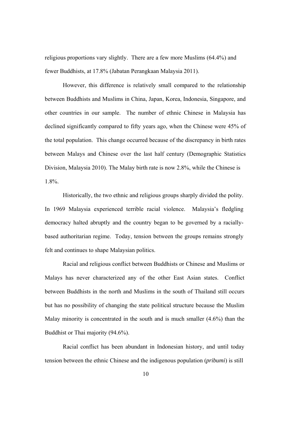religious proportions vary slightly. There are a few more Muslims (64.4%) and fewer Buddhists, at 17.8% (Jabatan Perangkaan Malaysia 2011).

However, this difference is relatively small compared to the relationship between Buddhists and Muslims in China, Japan, Korea, Indonesia, Singapore, and other countries in our sample. The number of ethnic Chinese in Malaysia has declined significantly compared to fifty years ago, when the Chinese were 45% of the total population. This change occurred because of the discrepancy in birth rates between Malays and Chinese over the last half century (Demographic Statistics Division, Malaysia 2010). The Malay birth rate is now 2.8%, while the Chinese is 1.8%.

Historically, the two ethnic and religious groups sharply divided the polity. In 1969 Malaysia experienced terrible racial violence. Malaysia's fledgling democracy halted abruptly and the country began to be governed by a raciallybased authoritarian regime. Today, tension between the groups remains strongly felt and continues to shape Malaysian politics.

Racial and religious conflict between Buddhists or Chinese and Muslims or Malays has never characterized any of the other East Asian states. Conflict between Buddhists in the north and Muslims in the south of Thailand still occurs but has no possibility of changing the state political structure because the Muslim Malay minority is concentrated in the south and is much smaller (4.6%) than the Buddhist or Thai majority (94.6%).

Racial conflict has been abundant in Indonesian history, and until today tension between the ethnic Chinese and the indigenous population (*pribumi*) is still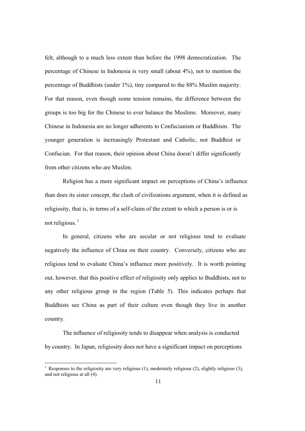felt, although to a much less extent than before the 1998 democratization. The percentage of Chinese in Indonesia is very small (about 4%), not to mention the percentage of Buddhists (under 1%), tiny compared to the 88% Muslim majority. For that reason, even though some tension remains, the difference between the groups is too big for the Chinese to ever balance the Muslims. Moreover, many Chinese in Indonesia are no longer adherents to Confucianism or Buddhism. The younger generation is increasingly Protestant and Catholic, not Buddhist or Confucian. For that reason, their opinion about China doesn't differ significantly from other citizens who are Muslim.

Religion has a more significant impact on perceptions of China's influence than does its sister concept, the clash of civilizations argument, when it is defined as religiosity, that is, in terms of a self-claim of the extent to which a person is or is not religious. $1$ 

In general, citizens who are secular or not religious tend to evaluate negatively the influence of China on their country. Conversely, citizens who are religious tend to evaluate China's influence more positively. It is worth pointing out, however, that this positive effect of religiosity only applies to Buddhists, not to any other religious group in the region (Table 5). This indicates perhaps that Buddhists see China as part of their culture even though they live in another country.

The influence of religiosity tends to disappear when analysis is conducted by country. In Japan, religiosity does not have a significant impact on perceptions

<sup>&</sup>lt;sup>1</sup> Responses to the religiosity are very religious (1), moderately religious (2), slightly religious (3), and not religious at all (4).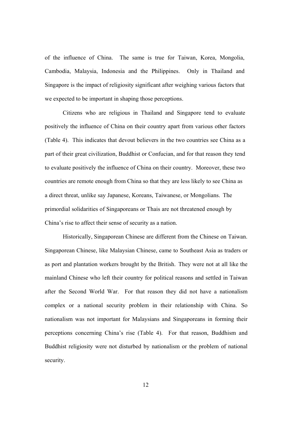of the influence of China. The same is true for Taiwan, Korea, Mongolia, Cambodia, Malaysia, Indonesia and the Philippines. Only in Thailand and Singapore is the impact of religiosity significant after weighing various factors that we expected to be important in shaping those perceptions.

Citizens who are religious in Thailand and Singapore tend to evaluate positively the influence of China on their country apart from various other factors (Table 4). This indicates that devout believers in the two countries see China as a part of their great civilization, Buddhist or Confucian, and for that reason they tend to evaluate positively the influence of China on their country. Moreover, these two countries are remote enough from China so that they are less likely to see China as a direct threat, unlike say Japanese, Koreans, Taiwanese, or Mongolians. The primordial solidarities of Singaporeans or Thais are not threatened enough by China's rise to affect their sense of security as a nation.

Historically, Singaporean Chinese are different from the Chinese on Taiwan. Singaporean Chinese, like Malaysian Chinese, came to Southeast Asia as traders or as port and plantation workers brought by the British. They were not at all like the mainland Chinese who left their country for political reasons and settled in Taiwan after the Second World War. For that reason they did not have a nationalism complex or a national security problem in their relationship with China. So nationalism was not important for Malaysians and Singaporeans in forming their perceptions concerning China's rise (Table 4). For that reason, Buddhism and Buddhist religiosity were not disturbed by nationalism or the problem of national security.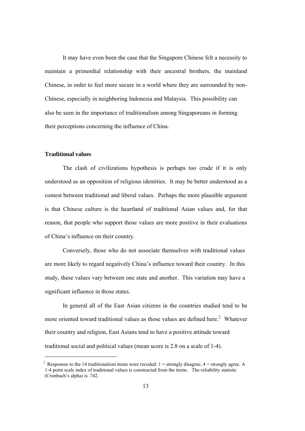It may have even been the case that the Singapore Chinese felt a necessity to maintain a primordial relationship with their ancestral brothers, the mainland Chinese, in order to feel more secure in a world where they are surrounded by non-Chinese, especially in neighboring Indonesia and Malaysia. This possibility can also be seen in the importance of traditionalism among Singaporeans in forming their perceptions concerning the influence of China.

## **Traditional values**

The clash of civilizations hypothesis is perhaps too crude if it is only understood as an opposition of religious identities. It may be better understood as a contest between traditional and liberal values. Perhaps the more plausible argument is that Chinese culture is the heartland of traditional Asian values and, for that reason, that people who support those values are more positive in their evaluations of China's influence on their country.

Conversely, those who do not associate themselves with traditional values are more likely to regard negatively China's influence toward their country. In this study, these values vary between one state and another. This variation may have a significant influence in those states.

In general all of the East Asian citizens in the countries studied tend to be more oriented toward traditional values as those values are defined here.<sup>2</sup> Whatever their country and religion, East Asians tend to have a positive attitude toward traditional social and political values (mean score is 2.8 on a scale of 1-4).

<sup>&</sup>lt;sup>2</sup> Responses to the 14 traditionalism items were recoded:  $1 =$  strongly disagree,  $4 =$  strongly agree. A 1-4 point scale index of traditional values is constructed from the items. The reliability statistic (Cronbach's alpha) is .742.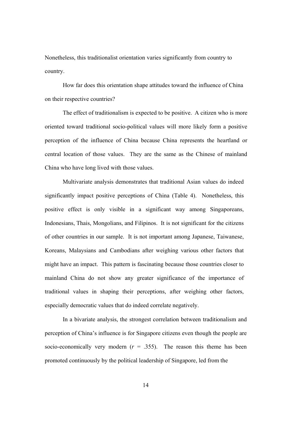Nonetheless, this traditionalist orientation varies significantly from country to country.

How far does this orientation shape attitudes toward the influence of China on their respective countries?

The effect of traditionalism is expected to be positive. A citizen who is more oriented toward traditional socio-political values will more likely form a positive perception of the influence of China because China represents the heartland or central location of those values. They are the same as the Chinese of mainland China who have long lived with those values.

Multivariate analysis demonstrates that traditional Asian values do indeed significantly impact positive perceptions of China (Table 4). Nonetheless, this positive effect is only visible in a significant way among Singaporeans, Indonesians, Thais, Mongolians, and Filipinos. It is not significant for the citizens of other countries in our sample. It is not important among Japanese, Taiwanese, Koreans, Malaysians and Cambodians after weighing various other factors that might have an impact. This pattern is fascinating because those countries closer to mainland China do not show any greater significance of the importance of traditional values in shaping their perceptions, after weighing other factors, especially democratic values that do indeed correlate negatively.

In a bivariate analysis, the strongest correlation between traditionalism and perception of China's influence is for Singapore citizens even though the people are socio-economically very modern  $(r = .355)$ . The reason this theme has been promoted continuously by the political leadership of Singapore, led from the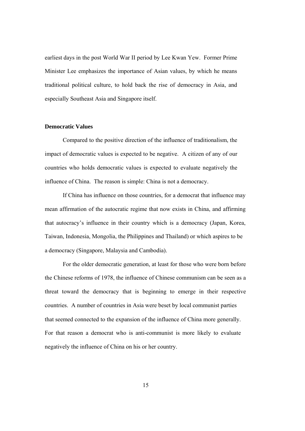earliest days in the post World War II period by Lee Kwan Yew. Former Prime Minister Lee emphasizes the importance of Asian values, by which he means traditional political culture, to hold back the rise of democracy in Asia, and especially Southeast Asia and Singapore itself.

## **Democratic Values**

Compared to the positive direction of the influence of traditionalism, the impact of democratic values is expected to be negative. A citizen of any of our countries who holds democratic values is expected to evaluate negatively the influence of China. The reason is simple: China is not a democracy.

If China has influence on those countries, for a democrat that influence may mean affirmation of the autocratic regime that now exists in China, and affirming that autocracy's influence in their country which is a democracy (Japan, Korea, Taiwan, Indonesia, Mongolia, the Philippines and Thailand) or which aspires to be a democracy (Singapore, Malaysia and Cambodia).

For the older democratic generation, at least for those who were born before the Chinese reforms of 1978, the influence of Chinese communism can be seen as a threat toward the democracy that is beginning to emerge in their respective countries. A number of countries in Asia were beset by local communist parties that seemed connected to the expansion of the influence of China more generally. For that reason a democrat who is anti-communist is more likely to evaluate negatively the influence of China on his or her country.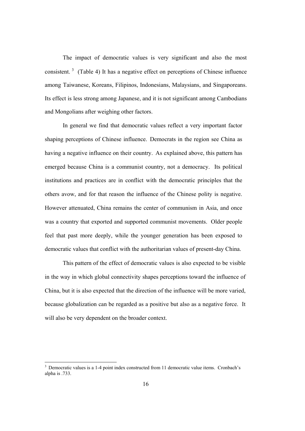The impact of democratic values is very significant and also the most consistent.<sup>3</sup> (Table 4) It has a negative effect on perceptions of Chinese influence among Taiwanese, Koreans, Filipinos, Indonesians, Malaysians, and Singaporeans. Its effect is less strong among Japanese, and it is not significant among Cambodians and Mongolians after weighing other factors.

In general we find that democratic values reflect a very important factor shaping perceptions of Chinese influence. Democrats in the region see China as having a negative influence on their country. As explained above, this pattern has emerged because China is a communist country, not a democracy. Its political institutions and practices are in conflict with the democratic principles that the others avow, and for that reason the influence of the Chinese polity is negative. However attenuated, China remains the center of communism in Asia, and once was a country that exported and supported communist movements. Older people feel that past more deeply, while the younger generation has been exposed to democratic values that conflict with the authoritarian values of present-day China.

This pattern of the effect of democratic values is also expected to be visible in the way in which global connectivity shapes perceptions toward the influence of China, but it is also expected that the direction of the influence will be more varied, because globalization can be regarded as a positive but also as a negative force. It will also be very dependent on the broader context.

<sup>&</sup>lt;sup>3</sup> Democratic values is a 1-4 point index constructed from 11 democratic value items. Cronbach's alpha is .733.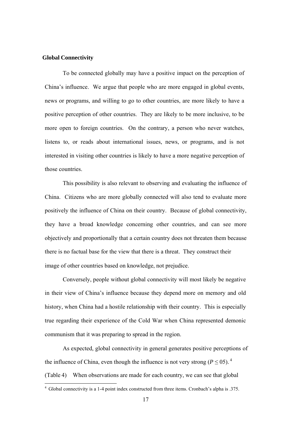#### **Global Connectivity**

To be connected globally may have a positive impact on the perception of China's influence. We argue that people who are more engaged in global events, news or programs, and willing to go to other countries, are more likely to have a positive perception of other countries. They are likely to be more inclusive, to be more open to foreign countries. On the contrary, a person who never watches, listens to, or reads about international issues, news, or programs, and is not interested in visiting other countries is likely to have a more negative perception of those countries.

This possibility is also relevant to observing and evaluating the influence of China. Citizens who are more globally connected will also tend to evaluate more positively the influence of China on their country. Because of global connectivity, they have a broad knowledge concerning other countries, and can see more objectively and proportionally that a certain country does not threaten them because there is no factual base for the view that there is a threat. They construct their image of other countries based on knowledge, not prejudice.

Conversely, people without global connectivity will most likely be negative in their view of China's influence because they depend more on memory and old history, when China had a hostile relationship with their country. This is especially true regarding their experience of the Cold War when China represented demonic communism that it was preparing to spread in the region.

As expected, global connectivity in general generates positive perceptions of the influence of China, even though the influence is not very strong  $(P \le 0.05)^4$ .

(Table 4) When observations are made for each country, we can see that global

<sup>4</sup> Global connectivity is a 1-4 point index constructed from three items. Cronbach's alpha is .375.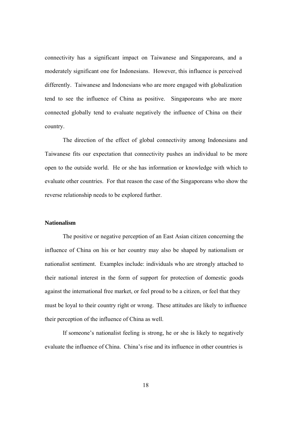connectivity has a significant impact on Taiwanese and Singaporeans, and a moderately significant one for Indonesians. However, this influence is perceived differently. Taiwanese and Indonesians who are more engaged with globalization tend to see the influence of China as positive. Singaporeans who are more connected globally tend to evaluate negatively the influence of China on their country.

The direction of the effect of global connectivity among Indonesians and Taiwanese fits our expectation that connectivity pushes an individual to be more open to the outside world. He or she has information or knowledge with which to evaluate other countries. For that reason the case of the Singaporeans who show the reverse relationship needs to be explored further.

## **Nationalism**

The positive or negative perception of an East Asian citizen concerning the influence of China on his or her country may also be shaped by nationalism or nationalist sentiment. Examples include: individuals who are strongly attached to their national interest in the form of support for protection of domestic goods against the international free market, or feel proud to be a citizen, or feel that they must be loyal to their country right or wrong. These attitudes are likely to influence their perception of the influence of China as well.

If someone's nationalist feeling is strong, he or she is likely to negatively evaluate the influence of China. China's rise and its influence in other countries is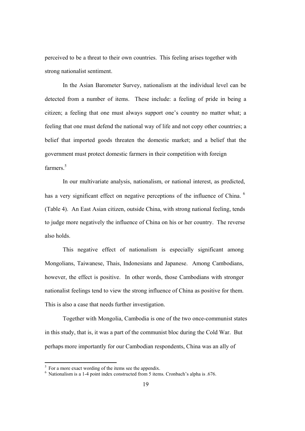perceived to be a threat to their own countries. This feeling arises together with strong nationalist sentiment.

In the Asian Barometer Survey, nationalism at the individual level can be detected from a number of items. These include: a feeling of pride in being a citizen; a feeling that one must always support one's country no matter what; a feeling that one must defend the national way of life and not copy other countries; a belief that imported goods threaten the domestic market; and a belief that the government must protect domestic farmers in their competition with foreign farmers<sup>5</sup>

In our multivariate analysis, nationalism, or national interest, as predicted, has a very significant effect on negative perceptions of the influence of China.  $6$ (Table 4). An East Asian citizen, outside China, with strong national feeling, tends to judge more negatively the influence of China on his or her country. The reverse also holds.

This negative effect of nationalism is especially significant among Mongolians, Taiwanese, Thais, Indonesians and Japanese. Among Cambodians, however, the effect is positive. In other words, those Cambodians with stronger nationalist feelings tend to view the strong influence of China as positive for them. This is also a case that needs further investigation.

Together with Mongolia, Cambodia is one of the two once-communist states in this study, that is, it was a part of the communist bloc during the Cold War. But perhaps more importantly for our Cambodian respondents, China was an ally of

<sup>&</sup>lt;sup>5</sup> For a more exact wording of the items see the appendix.<br><sup>6</sup> Nationalism is a 1-4 point index constructed from 5 items. Cronbach's alpha is .676.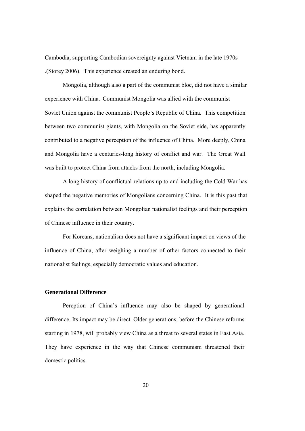Cambodia, supporting Cambodian sovereignty against Vietnam in the late 1970s .(Storey 2006). This experience created an enduring bond.

Mongolia, although also a part of the communist bloc, did not have a similar experience with China. Communist Mongolia was allied with the communist Soviet Union against the communist People's Republic of China. This competition between two communist giants, with Mongolia on the Soviet side, has apparently contributed to a negative perception of the influence of China. More deeply, China and Mongolia have a centuries-long history of conflict and war. The Great Wall was built to protect China from attacks from the north, including Mongolia.

A long history of conflictual relations up to and including the Cold War has shaped the negative memories of Mongolians concerning China. It is this past that explains the correlation between Mongolian nationalist feelings and their perception of Chinese influence in their country.

For Koreans, nationalism does not have a significant impact on views of the influence of China, after weighing a number of other factors connected to their nationalist feelings, especially democratic values and education.

#### **Generational Difference**

Percption of China's influence may also be shaped by generational difference. Its impact may be direct. Older generations, before the Chinese reforms starting in 1978, will probably view China as a threat to several states in East Asia. They have experience in the way that Chinese communism threatened their domestic politics.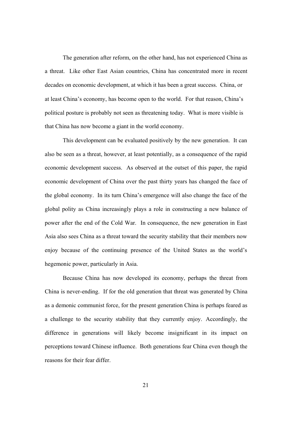The generation after reform, on the other hand, has not experienced China as a threat. Like other East Asian countries, China has concentrated more in recent decades on economic development, at which it has been a great success. China, or at least China's economy, has become open to the world. For that reason, China's political posture is probably not seen as threatening today. What is more visible is that China has now become a giant in the world economy.

This development can be evaluated positively by the new generation. It can also be seen as a threat, however, at least potentially, as a consequence of the rapid economic development success. As observed at the outset of this paper, the rapid economic development of China over the past thirty years has changed the face of the global economy. In its turn China's emergence will also change the face of the global polity as China increasingly plays a role in constructing a new balance of power after the end of the Cold War. In consequence, the new generation in East Asia also sees China as a threat toward the security stability that their members now enjoy because of the continuing presence of the United States as the world's hegemonic power, particularly in Asia.

Because China has now developed its economy, perhaps the threat from China is never-ending. If for the old generation that threat was generated by China as a demonic communist force, for the present generation China is perhaps feared as a challenge to the security stability that they currently enjoy. Accordingly, the difference in generations will likely become insignificant in its impact on perceptions toward Chinese influence. Both generations fear China even though the reasons for their fear differ.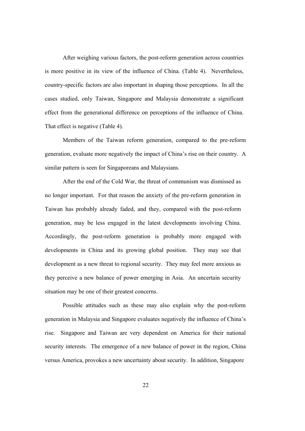After weighing various factors, the post-reform generation across countries is more positive in its view of the influence of China. (Table 4). Nevertheless, country-specific factors are also important in shaping those perceptions. In all the cases studied, only Taiwan, Singapore and Malaysia demonstrate a significant effect from the generational difference on perceptions of the influence of China. That effect is negative (Table 4).

Members of the Taiwan reform generation, compared to the pre-reform generation, evaluate more negatively the impact of China's rise on their country. A similar pattern is seen for Singaporeans and Malaysians.

After the end of the Cold War, the threat of communism was dismissed as no longer important. For that reason the anxiety of the pre-reform generation in Taiwan has probably already faded, and they, compared with the post-reform generation, may be less engaged in the latest developments involving China. Accordingly, the post-reform generation is probably more engaged with developments in China and its growing global position. They may see that development as a new threat to regional security. They may feel more anxious as they perceive a new balance of power emerging in Asia. An uncertain security situation may be one of their greatest concerns.

Possible attitudes such as these may also explain why the post-reform generation in Malaysia and Singapore evaluates negatively the influence of China's rise. Singapore and Taiwan are very dependent on America for their national security interests. The emergence of a new balance of power in the region, China versus America, provokes a new uncertainty about security. In addition, Singapore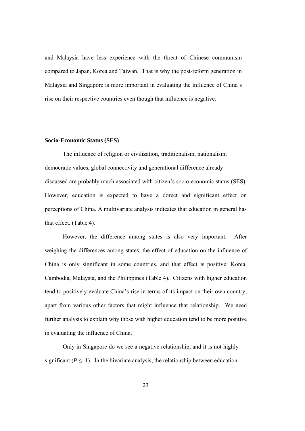and Malaysia have less experience with the threat of Chinese communism compared to Japan, Korea and Taiwan. That is why the post-reform generation in Malaysia and Singapore is more important in evaluating the influence of China's rise on their respective countries even though that influence is negative.

### **Socio-Economic Status (SES)**

The influence of religion or civilization, traditionalism, nationalism, democratic values, global connectivity and generational difference already discussed are probably much associated with citizen's socio-economic status (SES). However, education is expected to have a dorect and significant effect on perceptions of China. A multivariate analysis indicates that education in general has that effect. (Table 4).

However, the difference among states is also very important. After weighing the differences among states, the effect of education on the influence of China is only significant in some countries, and that effect is positive: Korea, Cambodia, Malaysia, and the Philippines (Table 4). Citizens with higher education tend to positively evaluate China's rise in terms of its impact on their own country, apart from various other factors that might influence that relationship. We need further analysis to explain why those with higher education tend to be more positive in evaluating the influence of China.

Only in Singapore do we see a negative relationship, and it is not highly significant ( $P \leq 1$ ). In the bivariate analysis, the relationship between education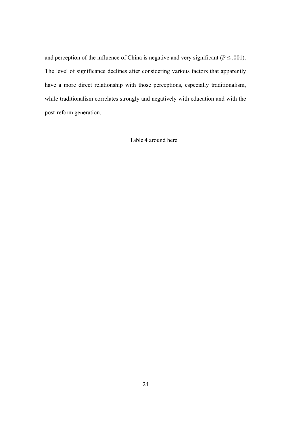and perception of the influence of China is negative and very significant ( $P \leq .001$ ). The level of significance declines after considering various factors that apparently have a more direct relationship with those perceptions, especially traditionalism, while traditionalism correlates strongly and negatively with education and with the post-reform generation.

Table 4 around here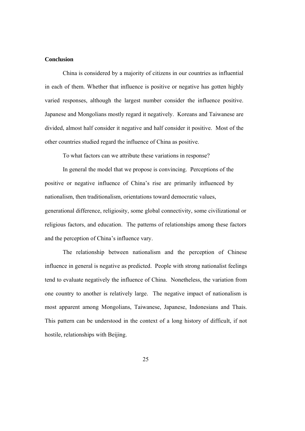## **Conclusion**

China is considered by a majority of citizens in our countries as influential in each of them. Whether that influence is positive or negative has gotten highly varied responses, although the largest number consider the influence positive. Japanese and Mongolians mostly regard it negatively. Koreans and Taiwanese are divided, almost half consider it negative and half consider it positive. Most of the other countries studied regard the influence of China as positive.

To what factors can we attribute these variations in response?

In general the model that we propose is convincing. Perceptions of the positive or negative influence of China's rise are primarily influenced by nationalism, then traditionalism, orientations toward democratic values, generational difference, religiosity, some global connectivity, some civilizational or religious factors, and education. The patterns of relationships among these factors and the perception of China's influence vary.

The relationship between nationalism and the perception of Chinese influence in general is negative as predicted. People with strong nationalist feelings tend to evaluate negatively the influence of China. Nonetheless, the variation from one country to another is relatively large. The negative impact of nationalism is most apparent among Mongolians, Taiwanese, Japanese, Indonesians and Thais. This pattern can be understood in the context of a long history of difficult, if not hostile, relationships with Beijing.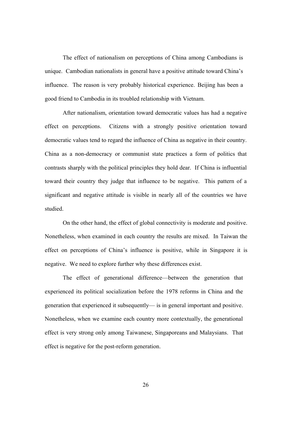The effect of nationalism on perceptions of China among Cambodians is unique. Cambodian nationalists in general have a positive attitude toward China's influence. The reason is very probably historical experience. Beijing has been a good friend to Cambodia in its troubled relationship with Vietnam.

After nationalism, orientation toward democratic values has had a negative effect on perceptions. Citizens with a strongly positive orientation toward democratic values tend to regard the influence of China as negative in their country. China as a non-democracy or communist state practices a form of politics that contrasts sharply with the political principles they hold dear. If China is influential toward their country they judge that influence to be negative. This pattern of a significant and negative attitude is visible in nearly all of the countries we have studied.

On the other hand, the effect of global connectivity is moderate and positive. Nonetheless, when examined in each country the results are mixed. In Taiwan the effect on perceptions of China's influence is positive, while in Singapore it is negative. We need to explore further why these differences exist.

The effect of generational difference—between the generation that experienced its political socialization before the 1978 reforms in China and the generation that experienced it subsequently— is in general important and positive. Nonetheless, when we examine each country more contextually, the generational effect is very strong only among Taiwanese, Singaporeans and Malaysians. That effect is negative for the post-reform generation.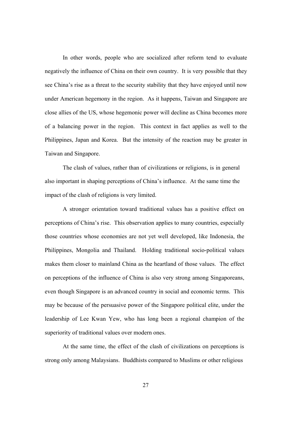In other words, people who are socialized after reform tend to evaluate negatively the influence of China on their own country. It is very possible that they see China's rise as a threat to the security stability that they have enjoyed until now under American hegemony in the region. As it happens, Taiwan and Singapore are close allies of the US, whose hegemonic power will decline as China becomes more of a balancing power in the region. This context in fact applies as well to the Philippines, Japan and Korea. But the intensity of the reaction may be greater in Taiwan and Singapore.

The clash of values, rather than of civilizations or religions, is in general also important in shaping perceptions of China's influence. At the same time the impact of the clash of religions is very limited.

A stronger orientation toward traditional values has a positive effect on perceptions of China's rise. This observation applies to many countries, especially those countries whose economies are not yet well developed, like Indonesia, the Philippines, Mongolia and Thailand. Holding traditional socio-political values makes them closer to mainland China as the heartland of those values. The effect on perceptions of the influence of China is also very strong among Singaporeans, even though Singapore is an advanced country in social and economic terms. This may be because of the persuasive power of the Singapore political elite, under the leadership of Lee Kwan Yew, who has long been a regional champion of the superiority of traditional values over modern ones.

At the same time, the effect of the clash of civilizations on perceptions is strong only among Malaysians. Buddhists compared to Muslims or other religious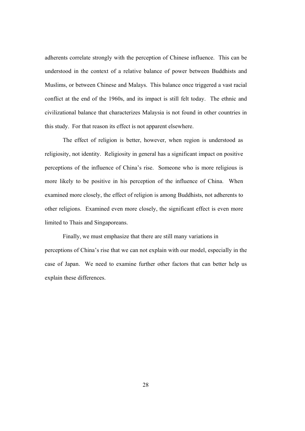adherents correlate strongly with the perception of Chinese influence. This can be understood in the context of a relative balance of power between Buddhists and Muslims, or between Chinese and Malays. This balance once triggered a vast racial conflict at the end of the 1960s, and its impact is still felt today. The ethnic and civilizational balance that characterizes Malaysia is not found in other countries in this study. For that reason its effect is not apparent elsewhere.

The effect of religion is better, however, when region is understood as religiosity, not identity. Religiosity in general has a significant impact on positive perceptions of the influence of China's rise. Someone who is more religious is more likely to be positive in his perception of the influence of China. When examined more closely, the effect of religion is among Buddhists, not adherents to other religions. Examined even more closely, the significant effect is even more limited to Thais and Singaporeans.

Finally, we must emphasize that there are still many variations in perceptions of China's rise that we can not explain with our model, especially in the case of Japan. We need to examine further other factors that can better help us explain these differences.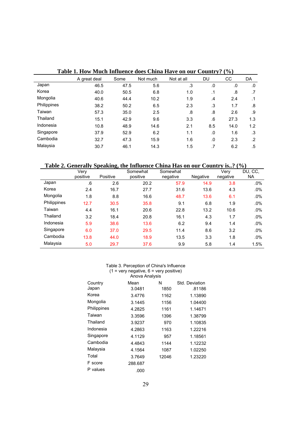|             | A great deal | Some | Not much | Not at all | DU            | CС   | DA        |
|-------------|--------------|------|----------|------------|---------------|------|-----------|
| Japan       | 46.5         | 47.5 | 5.6      | .3         | .0            | .0   | .0        |
| Korea       | 40.0         | 50.5 | 6.8      | 1.0        | $\cdot$ 1     | .8   | .7        |
| Mongolia    | 40.6         | 44.4 | 10.2     | 1.9        | $\mathcal{A}$ | 2.4  | $\cdot$ 1 |
| Philippines | 38.2         | 50.2 | 6.5      | 2.3        | .3            | 1.7  | .8        |
| Taiwan      | 57.3         | 35.0 | 2.5      | .8         | .8            | 2.6  | .9        |
| Thailand    | 15.1         | 42.9 | 9.6      | 3.3        | .6            | 27.3 | 1.3       |
| Indonesia   | 10.8         | 48.9 | 14.6     | 2.1        | 8.5           | 14.0 | 1.2       |
| Singapore   | 37.9         | 52.9 | 6.2      | 1.1        | .0            | 1.6  | .3        |
| Cambodia    | 32.7         | 47.3 | 15.9     | 1.6        | .0            | 2.3  | $\cdot$   |
| Malaysia    | 30.7         | 46.1 | 14.3     | 1.5        | .7            | 6.2  | .5        |

## **Table 1. How Much Influence does China Have on our Country? (%)**

 **Table 2. Generally Speaking, the Influence China Has on our Country is..? (%)** 

|             | Verv     |          | Somewhat | Somewhat |          | Very     | DU, CC, |
|-------------|----------|----------|----------|----------|----------|----------|---------|
|             | positive | Positive | positive | negative | Negative | negative | NA.     |
| Japan       | .6       | 2.6      | 20.2     | 57.9     | 14.9     | 3.8      | $.0\%$  |
| Korea       | 2.4      | 16.7     | 27.7     | 31.6     | 13.6     | 4.3      | $.0\%$  |
| Mongolia    | 1.8      | 8.8      | 16.6     | 48.7     | 13.6     | 6.1      | $.0\%$  |
| Philippines | 12.7     | 30.5     | 35.8     | 9.1      | 6.8      | 1.9      | $.0\%$  |
| Taiwan      | 4.4      | 16.1     | 20.6     | 22.8     | 13.2     | 10.6     | $.0\%$  |
| Thailand    | 3.2      | 18.4     | 20.8     | 16.1     | 4.3      | 1.7      | $.0\%$  |
| Indonesia   | 5.9      | 38.6     | 13.6     | 6.2      | 9.4      | 1.4      | $.0\%$  |
| Singapore   | 6.0      | 37.0     | 29.5     | 11.4     | 8.6      | 3.2      | $.0\%$  |
| Cambodia    | 13.8     | 44.0     | 18.9     | 13.5     | 3.3      | 1.8      | $.0\%$  |
| Malaysia    | 5.0      | 29.7     | 37.6     | 9.9      | 5.8      | 1.4      | 1.5%    |

#### Table 3. Perception of China's Influence  $(1 = \text{very negative}, 6 = \text{very positive})$ Anova Analysis

| Country     | Mean    | N     | Std. Deviation |
|-------------|---------|-------|----------------|
| Japan       | 3.0481  | 1850  | .81186         |
| Korea       | 3.4776  | 1162  | 1.13890        |
| Mongolia    | 3.1445  | 1156  | 1.04400        |
| Philippines | 4.2825  | 1161  | 1.14671        |
| Taiwan      | 3.3596  | 1396  | 1.38799        |
| Thailand    | 3.9237  | 970   | 1.10835        |
| Indonesia   | 4.2863  | 1163  | 1.22216        |
| Singapore   | 4.1129  | 957   | 1.18561        |
| Cambodia    | 4.4843  | 1144  | 1.12232        |
| Malaysia    | 4.1564  | 1087  | 1.02250        |
| Total       | 3.7649  | 12046 | 1.23220        |
| F score     | 288.687 |       |                |
| P values    | .000    |       |                |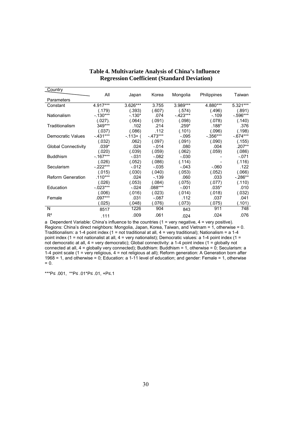| Country                    |            |            |           |            |             |             |
|----------------------------|------------|------------|-----------|------------|-------------|-------------|
|                            | All        | Japan      | Korea     | Mongolia   | Philippines | Taiwan      |
| Parameters                 |            |            |           |            |             |             |
| Constant                   | 4.917***   | $3.626***$ | 3.755     | 3.989***   | 4.880***    | $5.321***$  |
|                            | (.179)     | (.393)     | (.607)    | (.574)     | (.496)      | (.891)      |
| Nationalism                | $-.130***$ | $-.130*$   | .074      | $-.423***$ | $-.109$     | $-0.596***$ |
|                            | (.027).    | (.064)     | (.091)    | (.098)     | (.078)      | (.140)      |
| Traditionalism             | 349***     | .102       | .214      | $.259*$    | $.188*$     | .376        |
|                            | (.037)     | (.086)     | .112      | (.101)     | (.096)      | (.198)      |
| Democratic Values          | $-.431***$ | $-113+$ (  | $-473***$ | $-.095$    | $-0.356***$ | $-674***$   |
|                            | (.032)     | .062)      | (.097)    | (.091)     | (.090)      | (.155)      |
| <b>Global Connectivity</b> | $.039*$    | .024       | $-.014$   | .080       | .004        | .207**      |
|                            | (.020)     | (.039)     | (.059)    | (.062)     | (.059)      | (.086)      |
| <b>Buddhism</b>            | $-167***$  | $-.031$    | $-.082$   | $-.030$    |             | $-.071$     |
|                            | (.026)     | (.052)     | (.086)    | (.114)     |             | (.116)      |
| Secularism                 | $-.222***$ | $-.012$    | $-0.035$  | $-.043$    | $-060$      | .122        |
|                            | (.015)     | (.030)     | (.040)    | (.053)     | (.052)      | (.066)      |
| <b>Reform Generation</b>   | $.110***$  | .024       | $-139$    | .060       | .033        | $-286**$    |
|                            | (.026)     | (.053)     | (.084)    | (.075)     | (.077)      | (.110)      |
| Education                  | $-.023***$ | $-.024$    | $.088***$ | $-.001$    | $.035*$     | .010        |
|                            | (.006)     | (.016)     | (.023)    | (.014)     | (.018)      | (.032)      |
| Female                     | .097***    | .031       | $-.087$   | .112       | .037        | .041        |
|                            | (.025)     | (.048)     | (.076)    | (.073)     | (.075)      | (.101)      |
| N                          | 8517       | 1226       | 904       | 843        | 911         | 748         |
| $R^2$                      | .111       | .009       | .061      | .024       | .024        | .076        |

## **Table 4. Multivariate Analysis of China's Influence Regression Coefficient (Standard Deviation)**

a Dependent Variable: China's influence to the countries (1 = very negative, 4 = very positive). Regions: China's direct neighbors: Mongolia, Japan, Korea, Taiwan, and Vietnam = 1, otherwise = 0. Traditionalism: a 1-4 point index (1 = not traditional at all, 4 = very traditional); Nationalism = a 1-4 point index (1 = not nationalist at all, 4 = very nationalist); Democratic values: a 1-4 point index (1 = not democratic at all, 4 = very democratic); Global connectivity: a 1-4 point index (1 = globally not connected at all, 4 = globally very connected); Buddhism: Buddhism = 1, otherwise = 0; Secularism: a 1-4 point scale (1 = very religious, 4 = not religious at all); Reform generation: A Generation born after 1968 = 1, and otherwise = 0; Education: a 1-11 level of education; and gender: Female = 1, otherwise  $= 0.$ 

\*\*\*P≤ .001, \*\*P≤ .01\*P≤ .01, +P≤.1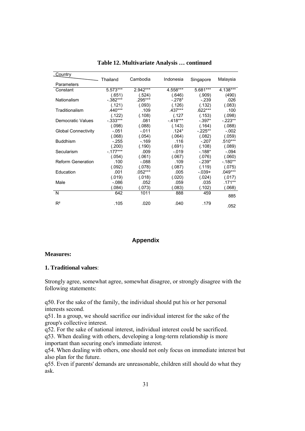| Country                    |             |           |            |            |            |
|----------------------------|-------------|-----------|------------|------------|------------|
|                            | Thailand    | Cambodia  | Indonesia  | Singapore  | Malaysia   |
| Parameters                 |             |           |            |            |            |
| Constant                   | 5.573***    | 2.942***  | 4.558***   | $5.681***$ | $4.138***$ |
|                            | (.651)      | (.524)    | (.646)     | (.909)     | (490)      |
| Nationalism                | $-0.382***$ | .295***   | $-.278*$   | $-.239$    | .026       |
|                            | (.121)      | (.093)    | (.126)     | (.132)     | (.083)     |
| Traditionalism             | .440***     | .109      | .437***    | .622***    | .100       |
|                            | (.122)      | (.108)    | (.127)     | (.153)     | (.098)     |
| Democratic Values          | $-0.333***$ | .081      | $-.418***$ | $-.397*$   | $-223**$   |
|                            | (.098)      | (.088)    | (.143)     | (.164)     | (.088)     |
| <b>Global Connectivity</b> | $-.051$     | $-.011$   | $.124*$    | $-.225**$  | $-.002$    |
|                            | (.068)      | (.054)    | (.064)     | (.082)     | (.059)     |
| <b>Buddhism</b>            | $-255$      | $-169$    | .116       | $-.207$    | $.510***$  |
|                            | (.200)      | (.190)    | (.691)     | (.108)     | (.089)     |
| Secularism                 | $-177***$   | .009      | $-.019$    | $-.188*$   | $-.094$    |
|                            | (.054)      | (.061)    | (.067)     | (.076)     | (.060)     |
| <b>Reform Generation</b>   | .100        | $-.088$   | .109       | $-.239*$   | $-180**$   |
|                            | (.092)      | (.078)    | (.087)     | (.119)     | (.075)     |
| Education                  | .001        | $.052***$ | .005       | $-.039+$   | $.049***$  |
|                            | (.019)      | (.018)    | (.020)     | (.024)     | (.017)     |
| Male                       | $-0.086$    | .052      | .059       | .035       | $.171***$  |
|                            | (.084)      | (.073)    | (.083)     | (.102)     | (.068)     |
| N                          | 642         | 1011      | 888        | 459        |            |
|                            |             |           |            |            | 885        |
| $R^2$                      | .105        | .020      | .040       | .179       | .052       |

**Table 12. Multivariate Analysis … continued**

## **Appendix**

#### **Measures:**

### **1. Traditional values**:

Strongly agree, somewhat agree, somewhat disagree, or strongly disagree with the following statements:

q50. For the sake of the family, the individual should put his or her personal interests second.

q51. In a group, we should sacrifice our individual interest for the sake of the group's collective interest.

q52. For the sake of national interest, individual interest could be sacrificed. q53. When dealing with others, developing a long-term relationship is more important than securing one's immediate interest.

q54. When dealing with others, one should not only focus on immediate interest but also plan for the future.

q55. Even if parents' demands are unreasonable, children still should do what they ask.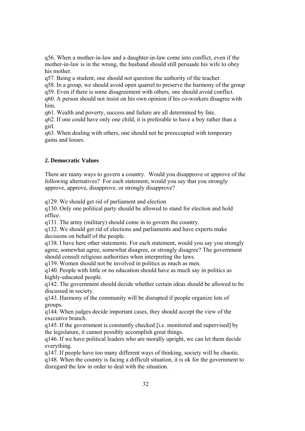q56. When a mother-in-law and a daughter-in-law come into conflict, even if the mother-in-law is in the wrong, the husband should still persuade his wife to obey his mother.

q57. Being a student, one should not question the authority of the teacher.

q58. In a group, we should avoid open quarrel to preserve the harmony of the group

q59. Even if there is some disagreement with others, one should avoid conflict.

q60. A person should not insist on his own opinion if his co-workers disagree with him.

q61. Wealth and poverty, success and failure are all determined by fate.

q62. If one could have only one child, it is preferable to have a boy rather than a girl.

q63. When dealing with others, one should not be preoccupied with temporary gains and losses.

## **2. Democratic Values**

There are many ways to govern a country. Would you disapprove or approve of the following alternatives? For each statement, would you say that you strongly approve, approve, disapprove, or strongly disapprove?

q129. We should get rid of parliament and election

q130. Only one political party should be allowed to stand for election and hold office.

q131. The army (military) should come in to govern the country.

q132. We should get rid of elections and parliaments and have experts make decisions on behalf of the people.

q138. I have here other statements. For each statement, would you say you strongly agree, somewhat agree, somewhat disagree, or strongly disagree? The government should consult religious authorities when interpreting the laws.

q139. Women should not be involved in politics as much as men.

q140. People with little or no education should have as much say in politics as highly-educated people.

q142. The government should decide whether certain ideas should be allowed to be discussed in society.

q143. Harmony of the community will be disrupted if people organize lots of groups.

q144. When judges decide important cases, they should accept the view of the executive branch.

q145. If the government is constantly checked [i.e. monitored and supervised] by the legislature, it cannot possibly accomplish great things.

q146. If we have political leaders who are morally upright, we can let them decide everything.

q147. If people have too many different ways of thinking, society will be chaotic.

q148. When the country is facing a difficult situation, it is ok for the government to disregard the law in order to deal with the situation.